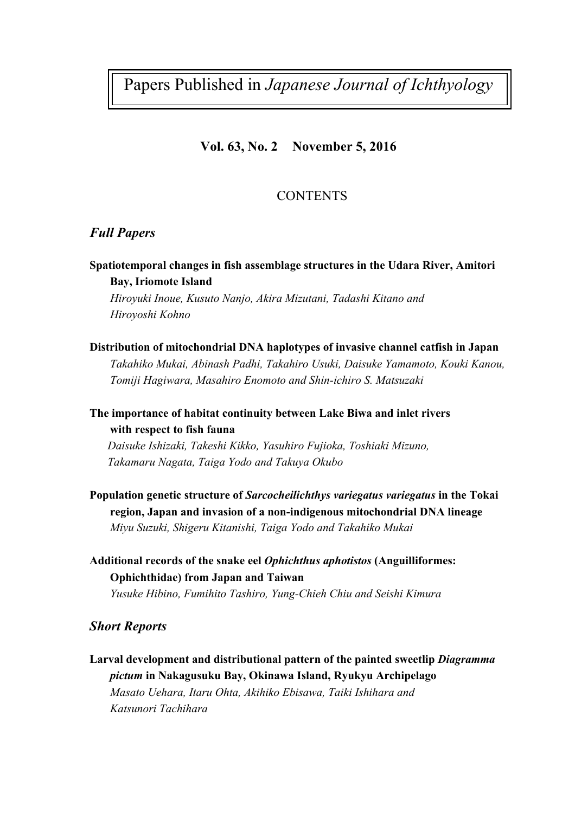Papers Published in *Japanese Journal of Ichthyology*

### **Vol. 63, No. 2 November 5, 2016**

## **CONTENTS**

### *Full Papers*

**Spatiotemporal changes in fish assemblage structures in the Udara River, Amitori Bay, Iriomote Island**

*Hiroyuki Inoue, Kusuto Nanjo, Akira Mizutani, Tadashi Kitano and Hiroyoshi Kohno*

**Distribution of mitochondrial DNA haplotypes of invasive channel catfish in Japan**  *Takahiko Mukai, Abinash Padhi, Takahiro Usuki, Daisuke Yamamoto, Kouki Kanou, Tomiji Hagiwara, Masahiro Enomoto and Shin-ichiro S. Matsuzaki*

**The importance of habitat continuity between Lake Biwa and inlet rivers with respect to fish fauna**

*Daisuke Ishizaki, Takeshi Kikko, Yasuhiro Fujioka, Toshiaki Mizuno, Takamaru Nagata, Taiga Yodo and Takuya Okubo*

**Population genetic structure of** *Sarcocheilichthys variegatus variegatus* **in the Tokai region, Japan and invasion of a non-indigenous mitochondrial DNA lineage** *Miyu Suzuki, Shigeru Kitanishi, Taiga Yodo and Takahiko Mukai*

**Additional records of the snake eel** *Ophichthus aphotistos* **(Anguilliformes: Ophichthidae) from Japan and Taiwan** *Yusuke Hibino, Fumihito Tashiro, Yung-Chieh Chiu and Seishi Kimura*

#### *Short Reports*

**Larval development and distributional pattern of the painted sweetlip** *Diagramma pictum* **in Nakagusuku Bay, Okinawa Island, Ryukyu Archipelago** *Masato Uehara, Itaru Ohta, Akihiko Ebisawa, Taiki Ishihara and Katsunori Tachihara*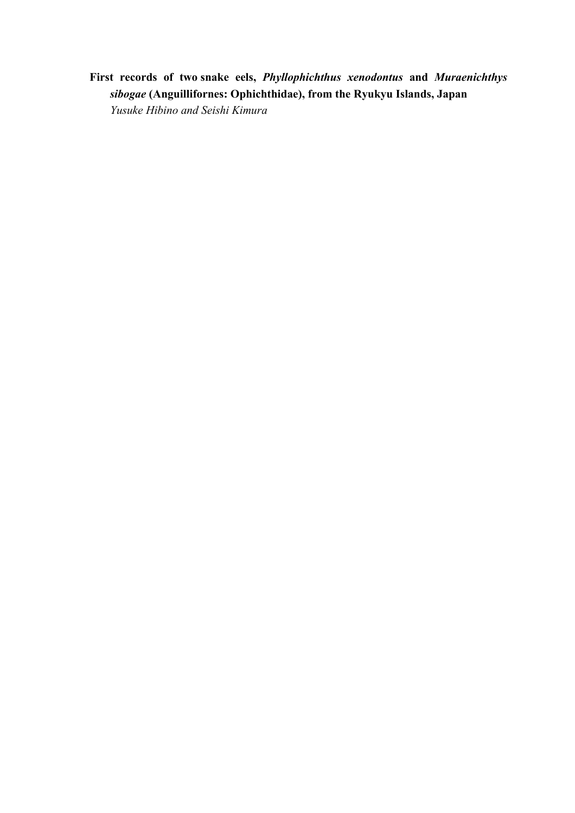**First records of two snake eels,** *Phyllophichthus xenodontus* **and** *Muraenichthys sibogae* **(Anguillifornes: Ophichthidae), from the Ryukyu Islands, Japan** *Yusuke Hibino and Seishi Kimura*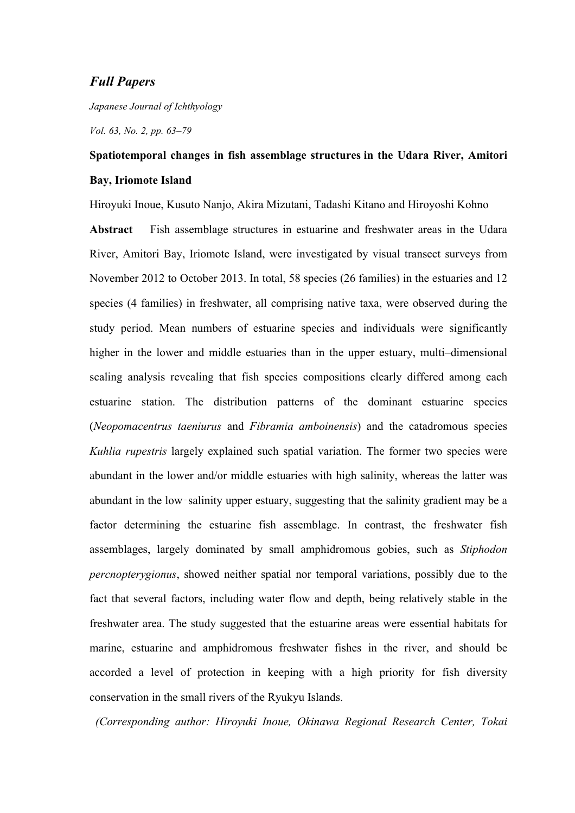#### *Full Papers*

*Japanese Journal of Ichthyology*

*Vol. 63, No. 2, pp. 63–79*

## **Spatiotemporal changes in fish assemblage structures in the Udara River, Amitori Bay, Iriomote Island**

Hiroyuki Inoue, Kusuto Nanjo, Akira Mizutani, Tadashi Kitano and Hiroyoshi Kohno

**Abstract** Fish assemblage structures in estuarine and freshwater areas in the Udara River, Amitori Bay, Iriomote Island, were investigated by visual transect surveys from November 2012 to October 2013. In total, 58 species (26 families) in the estuaries and 12 species (4 families) in freshwater, all comprising native taxa, were observed during the study period. Mean numbers of estuarine species and individuals were significantly higher in the lower and middle estuaries than in the upper estuary, multi–dimensional scaling analysis revealing that fish species compositions clearly differed among each estuarine station. The distribution patterns of the dominant estuarine species (*Neopomacentrus taeniurus* and *Fibramia amboinensis*) and the catadromous species *Kuhlia rupestris* largely explained such spatial variation. The former two species were abundant in the lower and/or middle estuaries with high salinity, whereas the latter was abundant in the low–salinity upper estuary, suggesting that the salinity gradient may be a factor determining the estuarine fish assemblage. In contrast, the freshwater fish assemblages, largely dominated by small amphidromous gobies, such as *Stiphodon percnopterygionus*, showed neither spatial nor temporal variations, possibly due to the fact that several factors, including water flow and depth, being relatively stable in the freshwater area. The study suggested that the estuarine areas were essential habitats for marine, estuarine and amphidromous freshwater fishes in the river, and should be accorded a level of protection in keeping with a high priority for fish diversity conservation in the small rivers of the Ryukyu Islands.

*(Corresponding author: Hiroyuki Inoue, Okinawa Regional Research Center, Tokai*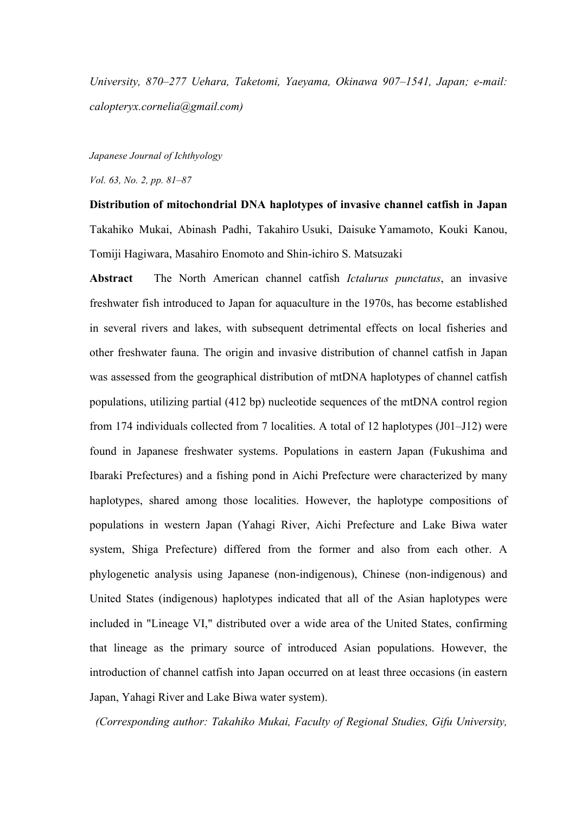*University, 870–277 Uehara, Taketomi, Yaeyama, Okinawa 907–1541, Japan; e-mail: calopteryx.cornelia@gmail.com)* 

*Japanese Journal of Ichthyology*

*Vol. 63, No. 2, pp. 81–87*

**Distribution of mitochondrial DNA haplotypes of invasive channel catfish in Japan**  Takahiko Mukai, Abinash Padhi, Takahiro Usuki, Daisuke Yamamoto, Kouki Kanou, Tomiji Hagiwara, Masahiro Enomoto and Shin-ichiro S. Matsuzaki

**Abstract** The North American channel catfish *Ictalurus punctatus*, an invasive freshwater fish introduced to Japan for aquaculture in the 1970s, has become established in several rivers and lakes, with subsequent detrimental effects on local fisheries and other freshwater fauna. The origin and invasive distribution of channel catfish in Japan was assessed from the geographical distribution of mtDNA haplotypes of channel catfish populations, utilizing partial (412 bp) nucleotide sequences of the mtDNA control region from 174 individuals collected from 7 localities. A total of 12 haplotypes (J01–J12) were found in Japanese freshwater systems. Populations in eastern Japan (Fukushima and Ibaraki Prefectures) and a fishing pond in Aichi Prefecture were characterized by many haplotypes, shared among those localities. However, the haplotype compositions of populations in western Japan (Yahagi River, Aichi Prefecture and Lake Biwa water system, Shiga Prefecture) differed from the former and also from each other. A phylogenetic analysis using Japanese (non-indigenous), Chinese (non-indigenous) and United States (indigenous) haplotypes indicated that all of the Asian haplotypes were included in "Lineage VI," distributed over a wide area of the United States, confirming that lineage as the primary source of introduced Asian populations. However, the introduction of channel catfish into Japan occurred on at least three occasions (in eastern Japan, Yahagi River and Lake Biwa water system).

*(Corresponding author: Takahiko Mukai, Faculty of Regional Studies, Gifu University,*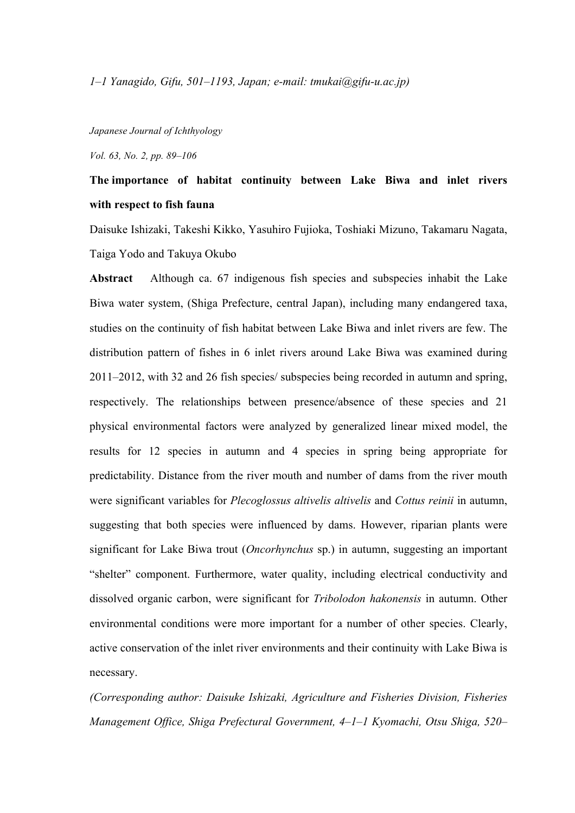#### *Japanese Journal of Ichthyology*

*Vol. 63, No. 2, pp. 89–106*

## **The importance of habitat continuity between Lake Biwa and inlet rivers with respect to fish fauna**

Daisuke Ishizaki, Takeshi Kikko, Yasuhiro Fujioka, Toshiaki Mizuno, Takamaru Nagata, Taiga Yodo and Takuya Okubo

**Abstract** Although ca. 67 indigenous fish species and subspecies inhabit the Lake Biwa water system, (Shiga Prefecture, central Japan), including many endangered taxa, studies on the continuity of fish habitat between Lake Biwa and inlet rivers are few. The distribution pattern of fishes in 6 inlet rivers around Lake Biwa was examined during 2011–2012, with 32 and 26 fish species/ subspecies being recorded in autumn and spring, respectively. The relationships between presence/absence of these species and 21 physical environmental factors were analyzed by generalized linear mixed model, the results for 12 species in autumn and 4 species in spring being appropriate for predictability. Distance from the river mouth and number of dams from the river mouth were significant variables for *Plecoglossus altivelis altivelis* and *Cottus reinii* in autumn, suggesting that both species were influenced by dams. However, riparian plants were significant for Lake Biwa trout (*Oncorhynchus* sp.) in autumn, suggesting an important "shelter" component. Furthermore, water quality, including electrical conductivity and dissolved organic carbon, were significant for *Tribolodon hakonensis* in autumn. Other environmental conditions were more important for a number of other species. Clearly, active conservation of the inlet river environments and their continuity with Lake Biwa is necessary.

*(Corresponding author: Daisuke Ishizaki, Agriculture and Fisheries Division, Fisheries Management Office, Shiga Prefectural Government, 4–1–1 Kyomachi, Otsu Shiga, 520–*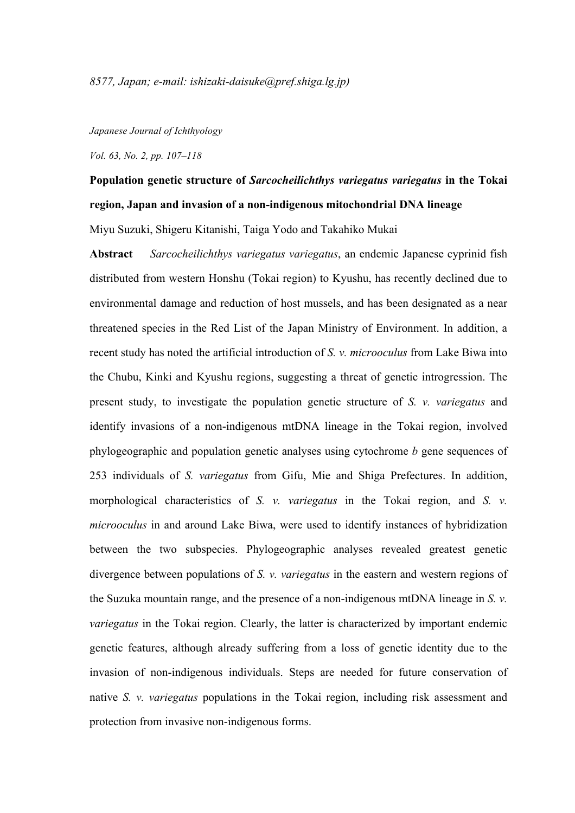#### *Japanese Journal of Ichthyology*

*Vol. 63, No. 2, pp. 107–118*

## **Population genetic structure of** *Sarcocheilichthys variegatus variegatus* **in the Tokai region, Japan and invasion of a non-indigenous mitochondrial DNA lineage**

Miyu Suzuki, Shigeru Kitanishi, Taiga Yodo and Takahiko Mukai

**Abstract** *Sarcocheilichthys variegatus variegatus*, an endemic Japanese cyprinid fish distributed from western Honshu (Tokai region) to Kyushu, has recently declined due to environmental damage and reduction of host mussels, and has been designated as a near threatened species in the Red List of the Japan Ministry of Environment. In addition, a recent study has noted the artificial introduction of *S. v. microoculus* from Lake Biwa into the Chubu, Kinki and Kyushu regions, suggesting a threat of genetic introgression. The present study, to investigate the population genetic structure of *S. v. variegatus* and identify invasions of a non-indigenous mtDNA lineage in the Tokai region, involved phylogeographic and population genetic analyses using cytochrome *b* gene sequences of 253 individuals of *S. variegatus* from Gifu, Mie and Shiga Prefectures. In addition, morphological characteristics of *S. v. variegatus* in the Tokai region, and *S. v. microoculus* in and around Lake Biwa, were used to identify instances of hybridization between the two subspecies. Phylogeographic analyses revealed greatest genetic divergence between populations of *S. v. variegatus* in the eastern and western regions of the Suzuka mountain range, and the presence of a non-indigenous mtDNA lineage in *S. v. variegatus* in the Tokai region. Clearly, the latter is characterized by important endemic genetic features, although already suffering from a loss of genetic identity due to the invasion of non-indigenous individuals. Steps are needed for future conservation of native *S. v. variegatus* populations in the Tokai region, including risk assessment and protection from invasive non-indigenous forms.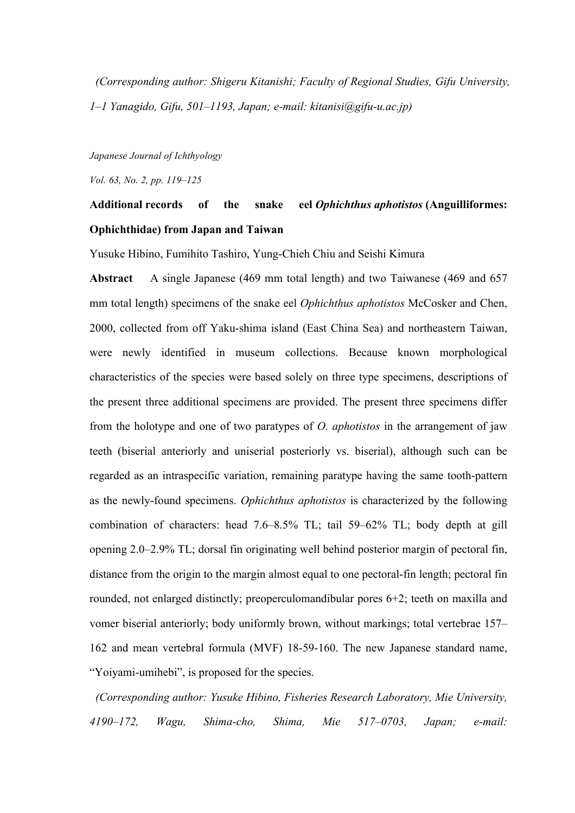*(Corresponding author: Shigeru Kitanishi; Faculty of Regional Studies, Gifu University, 1–1 Yanagido, Gifu, 501–1193, Japan; e-mail: kitanisi@gifu-u.ac.jp)*

*Japanese Journal of Ichthyology*

*Vol. 63, No. 2, pp. 119–125*

## **Additional records of the snake eel** *Ophichthus aphotistos* **(Anguilliformes: Ophichthidae) from Japan and Taiwan**

Yusuke Hibino, Fumihito Tashiro, Yung-Chieh Chiu and Seishi Kimura

**Abstract** A single Japanese (469 mm total length) and two Taiwanese (469 and 657 mm total length) specimens of the snake eel *Ophichthus aphotistos* McCosker and Chen, 2000, collected from off Yaku-shima island (East China Sea) and northeastern Taiwan, were newly identified in museum collections. Because known morphological characteristics of the species were based solely on three type specimens, descriptions of the present three additional specimens are provided. The present three specimens differ from the holotype and one of two paratypes of *O. aphotistos* in the arrangement of jaw teeth (biserial anteriorly and uniserial posteriorly vs. biserial), although such can be regarded as an intraspecific variation, remaining paratype having the same tooth-pattern as the newly-found specimens. *Ophichthus aphotistos* is characterized by the following combination of characters: head 7.6–8.5% TL; tail 59–62% TL; body depth at gill opening 2.0–2.9% TL; dorsal fin originating well behind posterior margin of pectoral fin, distance from the origin to the margin almost equal to one pectoral-fin length; pectoral fin rounded, not enlarged distinctly; preoperculomandibular pores 6+2; teeth on maxilla and vomer biserial anteriorly; body uniformly brown, without markings; total vertebrae 157– 162 and mean vertebral formula (MVF) 18-59-160. The new Japanese standard name, "Yoiyami-umihebi", is proposed for the species.

*(Corresponding author: Yusuke Hibino, Fisheries Research Laboratory, Mie University, 4190–172, Wagu, Shima-cho, Shima, Mie 517–0703, Japan; e-mail:*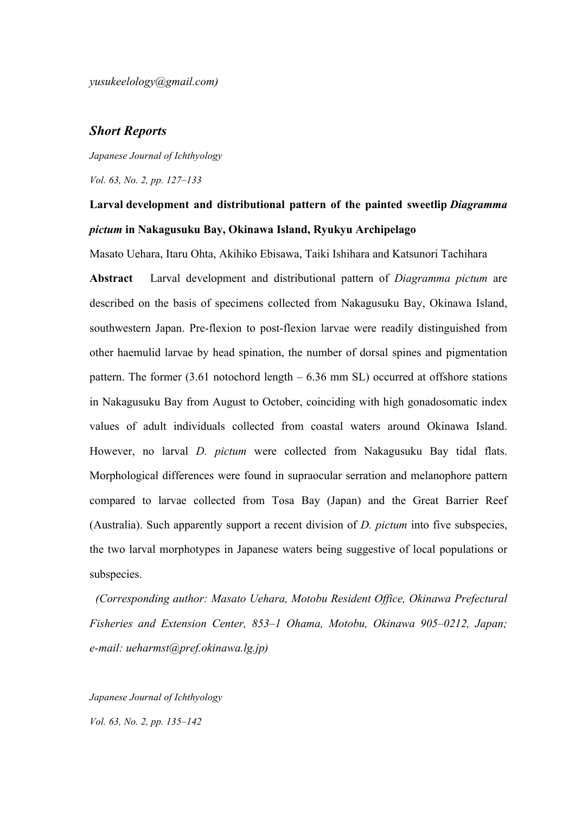*yusukeelology@gmail.com)*

#### *Short Reports*

*Japanese Journal of Ichthyology*

*Vol. 63, No. 2, pp. 127–133*

## **Larval development and distributional pattern of the painted sweetlip** *Diagramma pictum* **in Nakagusuku Bay, Okinawa Island, Ryukyu Archipelago**

Masato Uehara, Itaru Ohta, Akihiko Ebisawa, Taiki Ishihara and Katsunori Tachihara

**Abstract** Larval development and distributional pattern of *Diagramma pictum* are described on the basis of specimens collected from Nakagusuku Bay, Okinawa Island, southwestern Japan. Pre-flexion to post-flexion larvae were readily distinguished from other haemulid larvae by head spination, the number of dorsal spines and pigmentation pattern. The former (3.61 notochord length – 6.36 mm SL) occurred at offshore stations in Nakagusuku Bay from August to October, coinciding with high gonadosomatic index values of adult individuals collected from coastal waters around Okinawa Island. However, no larval *D. pictum* were collected from Nakagusuku Bay tidal flats. Morphological differences were found in supraocular serration and melanophore pattern compared to larvae collected from Tosa Bay (Japan) and the Great Barrier Reef (Australia). Such apparently support a recent division of *D. pictum* into five subspecies, the two larval morphotypes in Japanese waters being suggestive of local populations or subspecies.

*(Corresponding author: Masato Uehara, Motobu Resident Office, Okinawa Prefectural Fisheries and Extension Center, 853–1 Ohama, Motobu, Okinawa 905–0212, Japan; e-mail: ueharmst@pref.okinawa.lg.jp)*

*Japanese Journal of Ichthyology Vol. 63, No. 2, pp. 135–142*